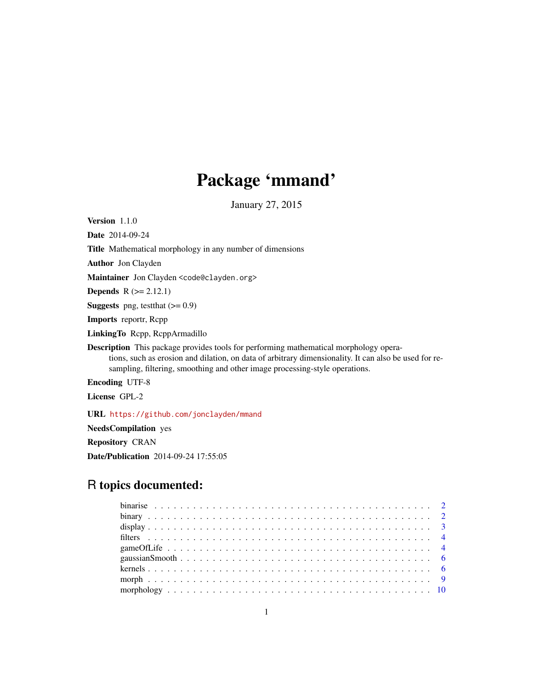# Package 'mmand'

January 27, 2015

Version 1.1.0 Date 2014-09-24 Title Mathematical morphology in any number of dimensions Author Jon Clayden Maintainer Jon Clayden <code@clayden.org> **Depends**  $R (= 2.12.1)$ **Suggests** png, test that  $(>= 0.9)$ Imports reportr, Rcpp LinkingTo Rcpp, RcppArmadillo Description This package provides tools for performing mathematical morphology operations, such as erosion and dilation, on data of arbitrary dimensionality. It can also be used for resampling, filtering, smoothing and other image processing-style operations. Encoding UTF-8

License GPL-2

URL <https://github.com/jonclayden/mmand>

NeedsCompilation yes

Repository CRAN

Date/Publication 2014-09-24 17:55:05

## R topics documented: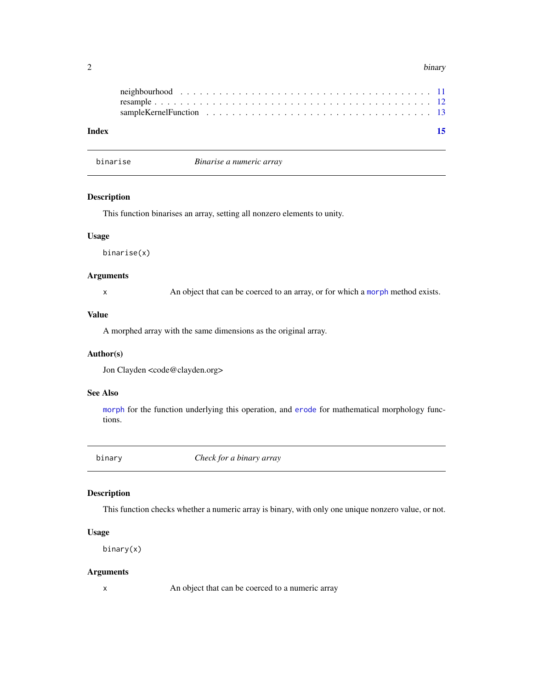<span id="page-1-0"></span>

| ~   | binary |
|-----|--------|
| . . | ╯      |

| Index |  |  |  |  |  |  |  |  |  |  |  |  |  |  | 15 |  |
|-------|--|--|--|--|--|--|--|--|--|--|--|--|--|--|----|--|
|       |  |  |  |  |  |  |  |  |  |  |  |  |  |  |    |  |

<span id="page-1-1"></span>binarise *Binarise a numeric array*

#### Description

This function binarises an array, setting all nonzero elements to unity.

#### Usage

binarise(x)

#### Arguments

x An object that can be coerced to an array, or for which a [morph](#page-8-1) method exists.

#### Value

A morphed array with the same dimensions as the original array.

#### Author(s)

Jon Clayden <code@clayden.org>

#### See Also

[morph](#page-8-1) for the function underlying this operation, and [erode](#page-9-1) for mathematical morphology functions.

binary *Check for a binary array*

#### Description

This function checks whether a numeric array is binary, with only one unique nonzero value, or not.

#### Usage

binary(x)

#### Arguments

x An object that can be coerced to a numeric array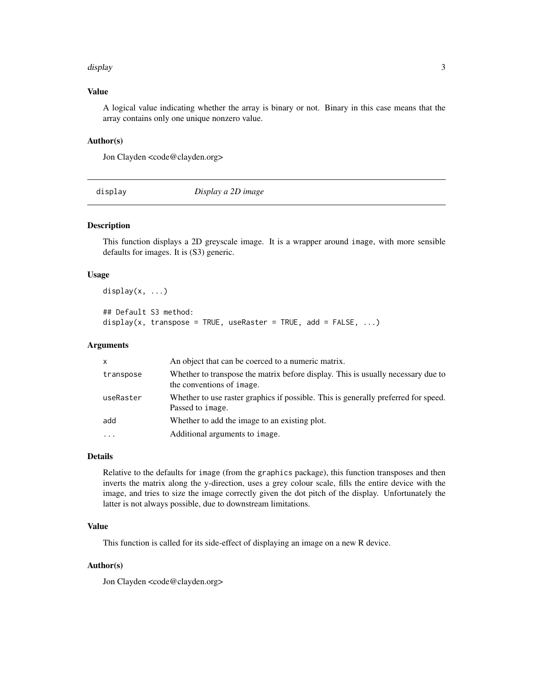#### <span id="page-2-0"></span>display 3

#### Value

A logical value indicating whether the array is binary or not. Binary in this case means that the array contains only one unique nonzero value.

#### Author(s)

Jon Clayden <code@clayden.org>

display *Display a 2D image*

#### Description

This function displays a 2D greyscale image. It is a wrapper around image, with more sensible defaults for images. It is (S3) generic.

#### Usage

```
display(x, \ldots)## Default S3 method:
```

```
display(x, transpose = TRUE, useRaster = TRUE, add = FALSE, \ldots)
```
#### Arguments

| $\mathsf{x}$                           | An object that can be coerced to a numeric matrix.                                 |
|----------------------------------------|------------------------------------------------------------------------------------|
| transpose<br>the conventions of image. | Whether to transpose the matrix before display. This is usually necessary due to   |
| useRaster<br>Passed to image.          | Whether to use raster graphics if possible. This is generally preferred for speed. |
| add                                    | Whether to add the image to an existing plot.                                      |
| .                                      | Additional arguments to image.                                                     |

#### Details

Relative to the defaults for image (from the graphics package), this function transposes and then inverts the matrix along the y-direction, uses a grey colour scale, fills the entire device with the image, and tries to size the image correctly given the dot pitch of the display. Unfortunately the latter is not always possible, due to downstream limitations.

#### Value

This function is called for its side-effect of displaying an image on a new R device.

#### Author(s)

Jon Clayden <code@clayden.org>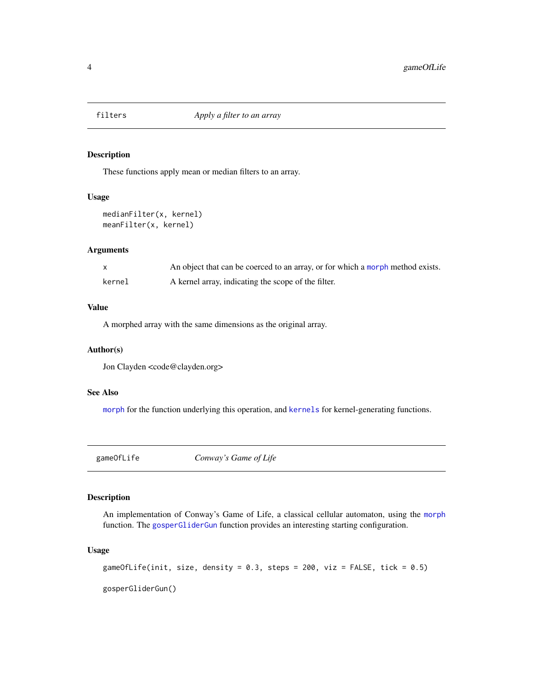<span id="page-3-0"></span>

#### Description

These functions apply mean or median filters to an array.

#### Usage

```
medianFilter(x, kernel)
meanFilter(x, kernel)
```
#### Arguments

|        | An object that can be coerced to an array, or for which a morph method exists. |
|--------|--------------------------------------------------------------------------------|
| kernel | A kernel array, indicating the scope of the filter.                            |

#### Value

A morphed array with the same dimensions as the original array.

#### Author(s)

Jon Clayden <code@clayden.org>

#### See Also

[morph](#page-8-1) for the function underlying this operation, and [kernels](#page-5-1) for kernel-generating functions.

gameOfLife *Conway's Game of Life*

#### <span id="page-3-1"></span>Description

An implementation of Conway's Game of Life, a classical cellular automaton, using the [morph](#page-8-1) function. The [gosperGliderGun](#page-3-1) function provides an interesting starting configuration.

#### Usage

gameOfLife(init, size, density = 0.3, steps = 200, viz = FALSE, tick = 0.5)

gosperGliderGun()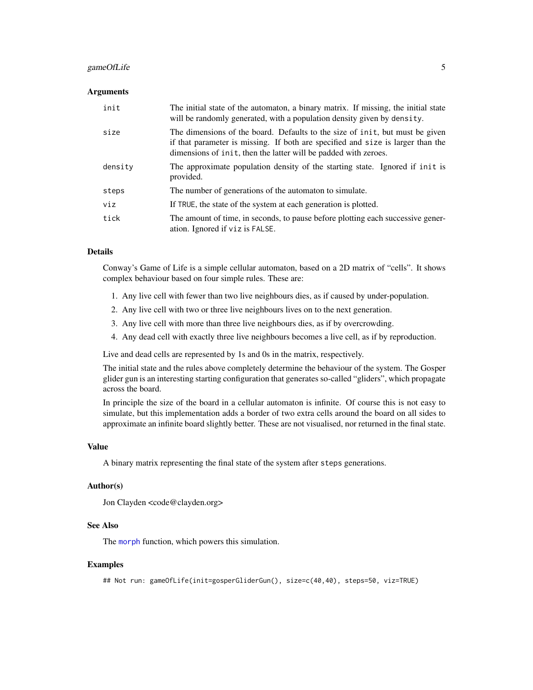#### gameOfLife 5

#### Arguments

| init    | The initial state of the automaton, a binary matrix. If missing, the initial state<br>will be randomly generated, with a population density given by density.                                                                      |
|---------|------------------------------------------------------------------------------------------------------------------------------------------------------------------------------------------------------------------------------------|
| size    | The dimensions of the board. Defaults to the size of init, but must be given<br>if that parameter is missing. If both are specified and size is larger than the<br>dimensions of init, then the latter will be padded with zeroes. |
| density | The approximate population density of the starting state. Ignored if init is<br>provided.                                                                                                                                          |
| steps   | The number of generations of the automaton to simulate.                                                                                                                                                                            |
| viz     | If TRUE, the state of the system at each generation is plotted.                                                                                                                                                                    |
| tick    | The amount of time, in seconds, to pause before plotting each successive gener-<br>ation. Ignored if viz is FALSE.                                                                                                                 |

#### Details

Conway's Game of Life is a simple cellular automaton, based on a 2D matrix of "cells". It shows complex behaviour based on four simple rules. These are:

- 1. Any live cell with fewer than two live neighbours dies, as if caused by under-population.
- 2. Any live cell with two or three live neighbours lives on to the next generation.
- 3. Any live cell with more than three live neighbours dies, as if by overcrowding.
- 4. Any dead cell with exactly three live neighbours becomes a live cell, as if by reproduction.

Live and dead cells are represented by 1s and 0s in the matrix, respectively.

The initial state and the rules above completely determine the behaviour of the system. The Gosper glider gun is an interesting starting configuration that generates so-called "gliders", which propagate across the board.

In principle the size of the board in a cellular automaton is infinite. Of course this is not easy to simulate, but this implementation adds a border of two extra cells around the board on all sides to approximate an infinite board slightly better. These are not visualised, nor returned in the final state.

#### Value

A binary matrix representing the final state of the system after steps generations.

#### Author(s)

Jon Clayden <code@clayden.org>

#### See Also

The [morph](#page-8-1) function, which powers this simulation.

#### Examples

## Not run: gameOfLife(init=gosperGliderGun(), size=c(40,40), steps=50, viz=TRUE)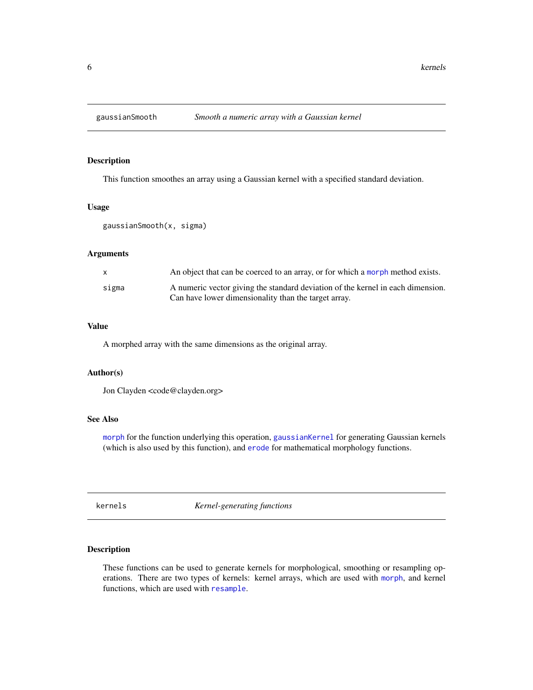<span id="page-5-3"></span><span id="page-5-0"></span>

#### Description

This function smoothes an array using a Gaussian kernel with a specified standard deviation.

#### Usage

```
gaussianSmooth(x, sigma)
```
#### Arguments

|       | An object that can be coerced to an array, or for which a morph method exists.  |
|-------|---------------------------------------------------------------------------------|
| sigma | A numeric vector giving the standard deviation of the kernel in each dimension. |
|       | Can have lower dimensionality than the target array.                            |

#### Value

A morphed array with the same dimensions as the original array.

#### Author(s)

Jon Clayden <code@clayden.org>

#### See Also

[morph](#page-8-1) for the function underlying this operation, [gaussianKernel](#page-5-2) for generating Gaussian kernels (which is also used by this function), and [erode](#page-9-1) for mathematical morphology functions.

<span id="page-5-1"></span>kernels *Kernel-generating functions*

#### <span id="page-5-2"></span>Description

These functions can be used to generate kernels for morphological, smoothing or resampling operations. There are two types of kernels: kernel arrays, which are used with [morph](#page-8-1), and kernel functions, which are used with [resample](#page-11-1).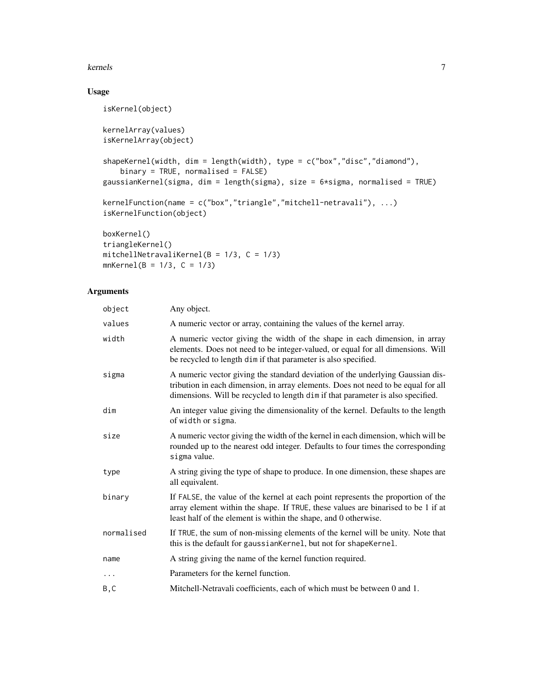#### kernels **7**

### Usage

```
isKernel(object)
kernelArray(values)
isKernelArray(object)
shapeKernel(width, dim = length(width), type = c("box","disc","diamond"),
   binary = TRUE, normalised = FALSE)
gaussianKernel(sigma, dim = length(sigma), size = 6*sigma, normalised = TRUE)
kernelFunction(name = c("box","triangle","mitchell-netravali"), ...)
isKernelFunction(object)
boxKernel()
triangleKernel()
```

```
mitchellNetravaliKernel(B = 1/3, C = 1/3)
mnKernel(B = 1/3, C = 1/3)
```
#### Arguments

| Any object.                                                                                                                                                                                                                                            |
|--------------------------------------------------------------------------------------------------------------------------------------------------------------------------------------------------------------------------------------------------------|
| A numeric vector or array, containing the values of the kernel array.                                                                                                                                                                                  |
| A numeric vector giving the width of the shape in each dimension, in array<br>elements. Does not need to be integer-valued, or equal for all dimensions. Will<br>be recycled to length dim if that parameter is also specified.                        |
| A numeric vector giving the standard deviation of the underlying Gaussian dis-<br>tribution in each dimension, in array elements. Does not need to be equal for all<br>dimensions. Will be recycled to length dim if that parameter is also specified. |
| An integer value giving the dimensionality of the kernel. Defaults to the length<br>of width or sigma.                                                                                                                                                 |
| A numeric vector giving the width of the kernel in each dimension, which will be<br>rounded up to the nearest odd integer. Defaults to four times the corresponding<br>sigma value.                                                                    |
| A string giving the type of shape to produce. In one dimension, these shapes are<br>all equivalent.                                                                                                                                                    |
| If FALSE, the value of the kernel at each point represents the proportion of the<br>array element within the shape. If TRUE, these values are binarised to be 1 if at<br>least half of the element is within the shape, and 0 otherwise.               |
| If TRUE, the sum of non-missing elements of the kernel will be unity. Note that<br>this is the default for gaussianKernel, but not for shapeKernel.                                                                                                    |
| A string giving the name of the kernel function required.                                                                                                                                                                                              |
| Parameters for the kernel function.                                                                                                                                                                                                                    |
| Mitchell-Netravali coefficients, each of which must be between 0 and 1.                                                                                                                                                                                |
|                                                                                                                                                                                                                                                        |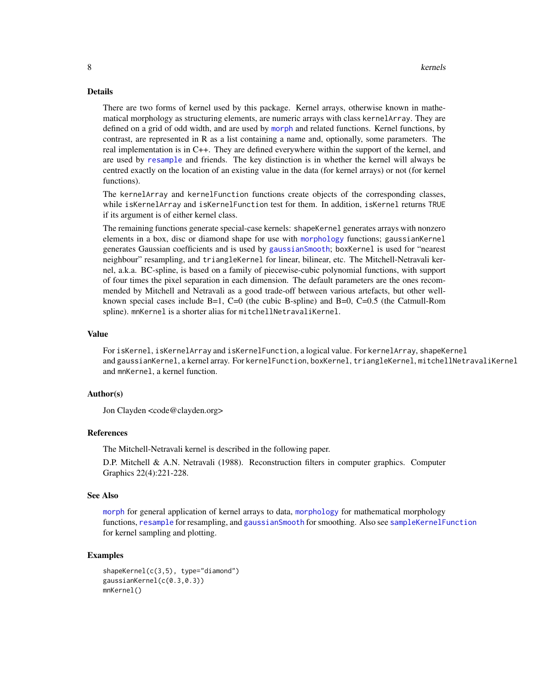#### <span id="page-7-0"></span>Details

There are two forms of kernel used by this package. Kernel arrays, otherwise known in mathematical morphology as structuring elements, are numeric arrays with class kernelArray. They are defined on a grid of odd width, and are used by [morph](#page-8-1) and related functions. Kernel functions, by contrast, are represented in R as a list containing a name and, optionally, some parameters. The real implementation is in C++. They are defined everywhere within the support of the kernel, and are used by [resample](#page-11-1) and friends. The key distinction is in whether the kernel will always be centred exactly on the location of an existing value in the data (for kernel arrays) or not (for kernel functions).

The kernelArray and kernelFunction functions create objects of the corresponding classes, while isKernelArray and isKernelFunction test for them. In addition, isKernel returns TRUE if its argument is of either kernel class.

The remaining functions generate special-case kernels: shapeKernel generates arrays with nonzero elements in a box, disc or diamond shape for use with [morphology](#page-9-2) functions; gaussianKernel generates Gaussian coefficients and is used by [gaussianSmooth](#page-5-3); boxKernel is used for "nearest neighbour" resampling, and triangleKernel for linear, bilinear, etc. The Mitchell-Netravali kernel, a.k.a. BC-spline, is based on a family of piecewise-cubic polynomial functions, with support of four times the pixel separation in each dimension. The default parameters are the ones recommended by Mitchell and Netravali as a good trade-off between various artefacts, but other wellknown special cases include B=1, C=0 (the cubic B-spline) and B=0, C=0.5 (the Catmull-Rom spline). mnKernel is a shorter alias for mitchellNetravaliKernel.

#### Value

For isKernel, isKernelArray and isKernelFunction, a logical value. For kernelArray, shapeKernel and gaussianKernel, a kernel array. For kernelFunction, boxKernel, triangleKernel, mitchellNetravaliKernel and mnKernel, a kernel function.

#### Author(s)

Jon Clayden <code@clayden.org>

#### References

The Mitchell-Netravali kernel is described in the following paper.

D.P. Mitchell & A.N. Netravali (1988). Reconstruction filters in computer graphics. Computer Graphics 22(4):221-228.

#### See Also

[morph](#page-8-1) for general application of kernel arrays to data, [morphology](#page-9-2) for mathematical morphology functions, [resample](#page-11-1) for resampling, and gaussian Smooth for smoothing. Also see sample Kernel Function for kernel sampling and plotting.

#### Examples

```
shapeKernel(c(3,5), type="diamond")
gaussianKernel(c(0.3,0.3))
mnKernel()
```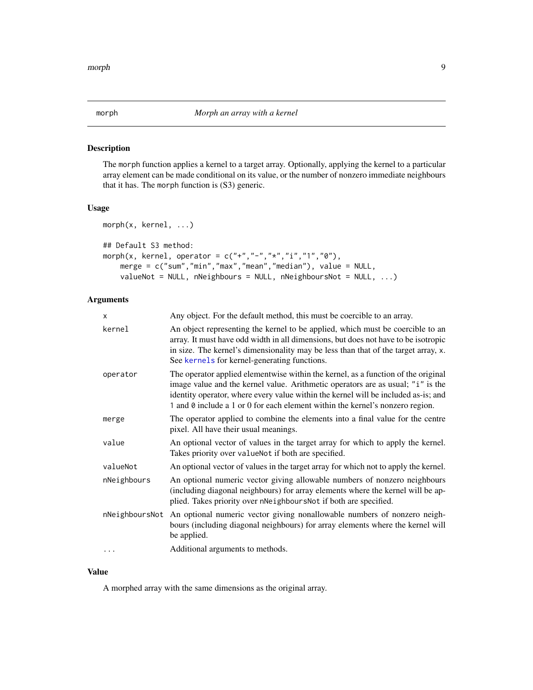<span id="page-8-1"></span><span id="page-8-0"></span>

#### Description

The morph function applies a kernel to a target array. Optionally, applying the kernel to a particular array element can be made conditional on its value, or the number of nonzero immediate neighbours that it has. The morph function is (S3) generic.

#### Usage

```
morph(x, kernel, ...)
## Default S3 method:
morph(x, kernel, operator = c("+","-","*","i","1","0"),
   merge = c("sum","min","max","mean","median"), value = NULL,
   valueNot = NULL, nNeighbours = NULL, nNeighboursNot = NULL, ...)
```
### Arguments

| X              | Any object. For the default method, this must be coercible to an array.                                                                                                                                                                                                                                                                     |
|----------------|---------------------------------------------------------------------------------------------------------------------------------------------------------------------------------------------------------------------------------------------------------------------------------------------------------------------------------------------|
| kernel         | An object representing the kernel to be applied, which must be coercible to an<br>array. It must have odd width in all dimensions, but does not have to be isotropic<br>in size. The kernel's dimensionality may be less than that of the target array, x.<br>See kernels for kernel-generating functions.                                  |
| operator       | The operator applied elementwise within the kernel, as a function of the original<br>image value and the kernel value. Arithmetic operators are as usual; "i" is the<br>identity operator, where every value within the kernel will be included as-is; and<br>1 and 0 include a 1 or 0 for each element within the kernel's nonzero region. |
| merge          | The operator applied to combine the elements into a final value for the centre<br>pixel. All have their usual meanings.                                                                                                                                                                                                                     |
| value          | An optional vector of values in the target array for which to apply the kernel.<br>Takes priority over valueNot if both are specified.                                                                                                                                                                                                      |
| valueNot       | An optional vector of values in the target array for which not to apply the kernel.                                                                                                                                                                                                                                                         |
| nNeighbours    | An optional numeric vector giving allowable numbers of nonzero neighbours<br>(including diagonal neighbours) for array elements where the kernel will be ap-<br>plied. Takes priority over nNeighboursNot if both are specified.                                                                                                            |
| nNeighboursNot | An optional numeric vector giving nonallowable numbers of nonzero neigh-<br>bours (including diagonal neighbours) for array elements where the kernel will<br>be applied.                                                                                                                                                                   |
| .              | Additional arguments to methods.                                                                                                                                                                                                                                                                                                            |

#### Value

A morphed array with the same dimensions as the original array.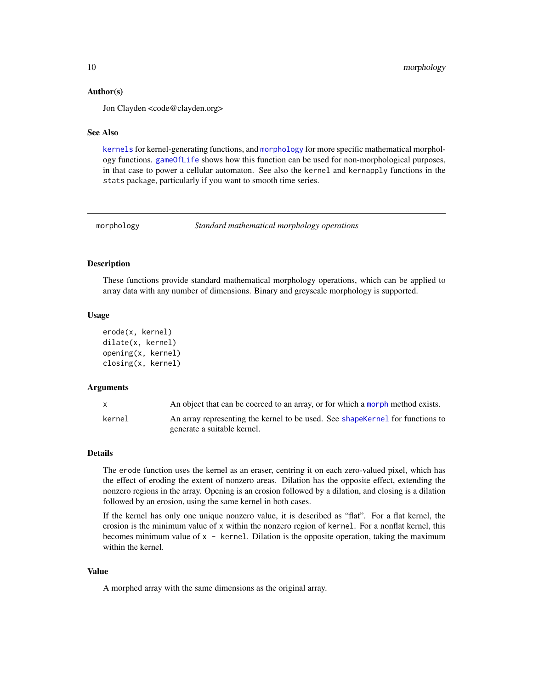#### Author(s)

Jon Clayden <code@clayden.org>

#### See Also

[kernels](#page-5-1) for kernel-generating functions, and [morphology](#page-9-2) for more specific mathematical morphology functions. [gameOfLife](#page-3-2) shows how this function can be used for non-morphological purposes, in that case to power a cellular automaton. See also the kernel and kernapply functions in the stats package, particularly if you want to smooth time series.

<span id="page-9-2"></span>morphology *Standard mathematical morphology operations*

#### <span id="page-9-1"></span>Description

These functions provide standard mathematical morphology operations, which can be applied to array data with any number of dimensions. Binary and greyscale morphology is supported.

#### Usage

```
erode(x, kernel)
dilate(x, kernel)
opening(x, kernel)
closing(x, kernel)
```
#### Arguments

| X      | An object that can be coerced to an array, or for which a morph method exists.                                |
|--------|---------------------------------------------------------------------------------------------------------------|
| kernel | An array representing the kernel to be used. See shape Kernel for functions to<br>generate a suitable kernel. |

#### Details

The erode function uses the kernel as an eraser, centring it on each zero-valued pixel, which has the effect of eroding the extent of nonzero areas. Dilation has the opposite effect, extending the nonzero regions in the array. Opening is an erosion followed by a dilation, and closing is a dilation followed by an erosion, using the same kernel in both cases.

If the kernel has only one unique nonzero value, it is described as "flat". For a flat kernel, the erosion is the minimum value of x within the nonzero region of kernel. For a nonflat kernel, this becomes minimum value of  $x -$  kernel. Dilation is the opposite operation, taking the maximum within the kernel.

#### Value

A morphed array with the same dimensions as the original array.

<span id="page-9-0"></span>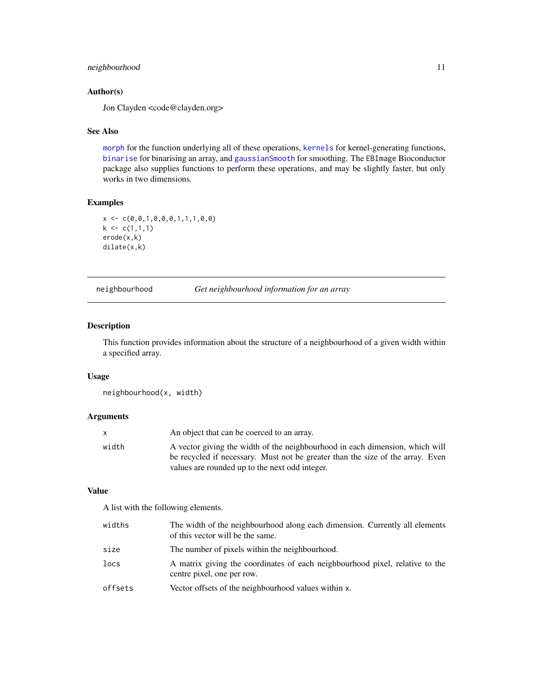#### <span id="page-10-0"></span>neighbourhood 11

#### Author(s)

Jon Clayden <code@clayden.org>

#### See Also

[morph](#page-8-1) for the function underlying all of these operations, [kernels](#page-5-1) for kernel-generating functions, [binarise](#page-1-1) for binarising an array, and [gaussianSmooth](#page-5-3) for smoothing. The EBImage Bioconductor package also supplies functions to perform these operations, and may be slightly faster, but only works in two dimensions.

#### Examples

```
x \leftarrow c(0, 0, 1, 0, 0, 0, 1, 1, 1, 0, 0)k \leq c(1,1,1)erode(x,k)
dilate(x,k)
```
#### neighbourhood *Get neighbourhood information for an array*

#### Description

This function provides information about the structure of a neighbourhood of a given width within a specified array.

#### Usage

neighbourhood(x, width)

#### Arguments

|       | An object that can be coerced to an array.                                     |
|-------|--------------------------------------------------------------------------------|
| width | A vector giving the width of the neighbourhood in each dimension, which will   |
|       | be recycled if necessary. Must not be greater than the size of the array. Even |
|       | values are rounded up to the next odd integer.                                 |

#### Value

A list with the following elements.

| widths  | The width of the neighbourhood along each dimension. Currently all elements<br>of this vector will be the same. |
|---------|-----------------------------------------------------------------------------------------------------------------|
| size    | The number of pixels within the neighbourhood.                                                                  |
| locs    | A matrix giving the coordinates of each neighbourhood pixel, relative to the<br>centre pixel, one per row.      |
| offsets | Vector offsets of the neighbourhood values within x.                                                            |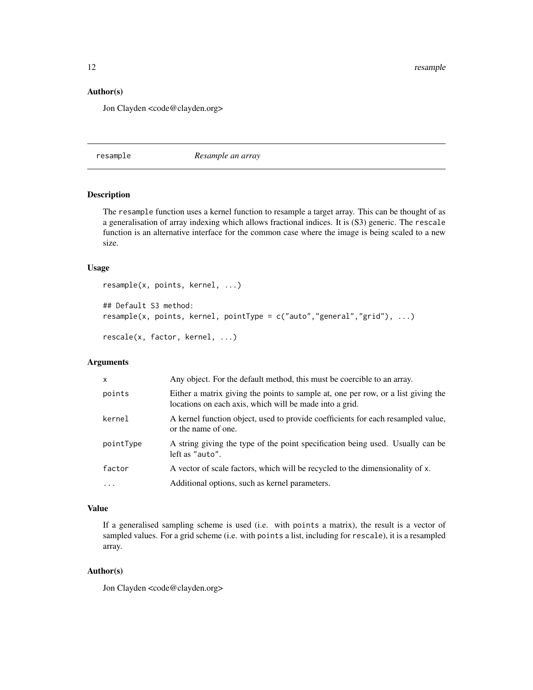<span id="page-11-0"></span>12 resample

#### Author(s)

Jon Clayden <code@clayden.org>

<span id="page-11-1"></span>resample *Resample an array*

#### Description

The resample function uses a kernel function to resample a target array. This can be thought of as a generalisation of array indexing which allows fractional indices. It is (S3) generic. The rescale function is an alternative interface for the common case where the image is being scaled to a new size.

#### Usage

```
resample(x, points, kernel, ...)
## Default S3 method:
resample(x, points, kernel, pointType = c("auto","general","grid"), ...)
rescale(x, factor, kernel, ...)
```
#### Arguments

| $\mathsf{x}$ | Any object. For the default method, this must be coercible to an array.                                                                      |
|--------------|----------------------------------------------------------------------------------------------------------------------------------------------|
| points       | Either a matrix giving the points to sample at, one per row, or a list giving the<br>locations on each axis, which will be made into a grid. |
| kernel       | A kernel function object, used to provide coefficients for each resampled value,<br>or the name of one.                                      |
| pointType    | A string giving the type of the point specification being used. Usually can be<br>left as "auto".                                            |
| factor       | A vector of scale factors, which will be recycled to the dimensionality of x.                                                                |
| $\ddots$     | Additional options, such as kernel parameters.                                                                                               |

#### Value

If a generalised sampling scheme is used (i.e. with points a matrix), the result is a vector of sampled values. For a grid scheme (i.e. with points a list, including for rescale), it is a resampled array.

#### Author(s)

Jon Clayden <code@clayden.org>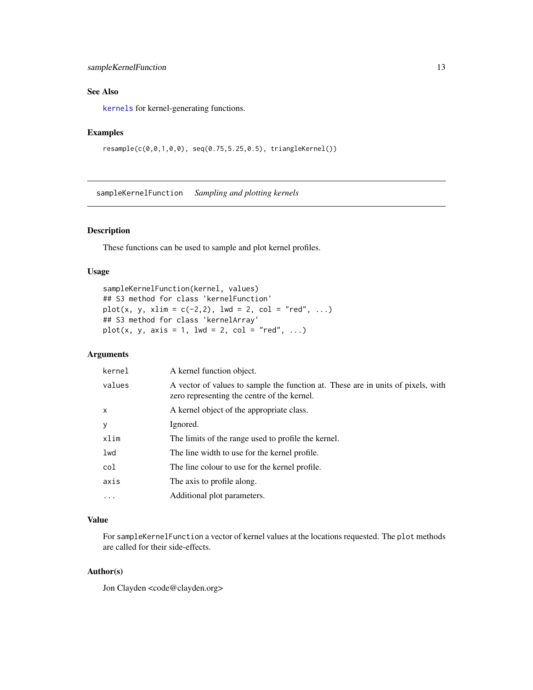#### <span id="page-12-0"></span>sampleKernelFunction 13

#### See Also

[kernels](#page-5-1) for kernel-generating functions.

#### Examples

```
resample(c(0,0,1,0,0), seq(0.75,5.25,0.5), triangleKernel())
```
<span id="page-12-1"></span>sampleKernelFunction *Sampling and plotting kernels*

#### Description

These functions can be used to sample and plot kernel profiles.

#### Usage

```
sampleKernelFunction(kernel, values)
## S3 method for class 'kernelFunction'
plot(x, y, xlim = c(-2, 2), lw = 2, col = "red", ...)## S3 method for class 'kernelArray'
plot(x, y, axis = 1, lwd = 2, col = "red", ...)
```
#### Arguments

| kernel       | A kernel function object.                                                                                                       |
|--------------|---------------------------------------------------------------------------------------------------------------------------------|
| values       | A vector of values to sample the function at. These are in units of pixels, with<br>zero representing the centre of the kernel. |
| $\mathsf{x}$ | A kernel object of the appropriate class.                                                                                       |
| y            | Ignored.                                                                                                                        |
| xlim         | The limits of the range used to profile the kernel.                                                                             |
| lwd          | The line width to use for the kernel profile.                                                                                   |
| col          | The line colour to use for the kernel profile.                                                                                  |
| axis         | The axis to profile along.                                                                                                      |
| .            | Additional plot parameters.                                                                                                     |

#### Value

For sampleKernelFunction a vector of kernel values at the locations requested. The plot methods are called for their side-effects.

#### Author(s)

Jon Clayden <code@clayden.org>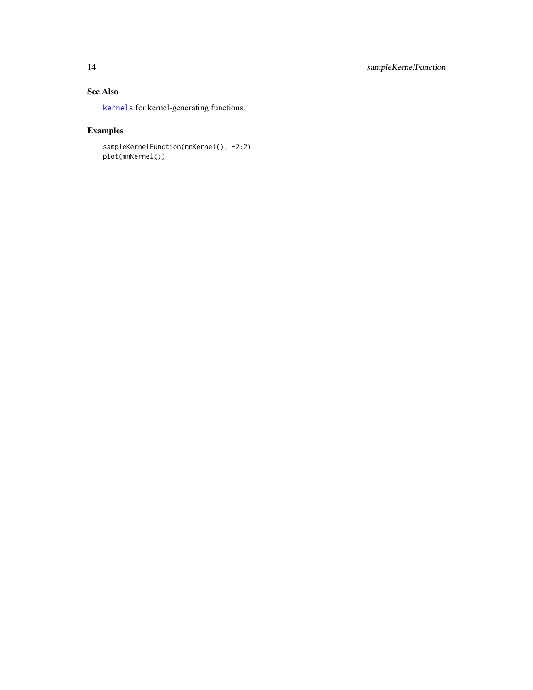### <span id="page-13-0"></span>See Also

[kernels](#page-5-1) for kernel-generating functions.

### Examples

```
sampleKernelFunction(mnKernel(), -2:2)
plot(mnKernel())
```